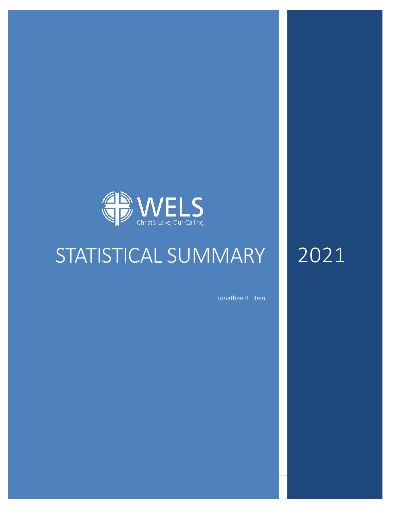

# STATISTICAL SUMMARY

Jonathan R. Hein

2021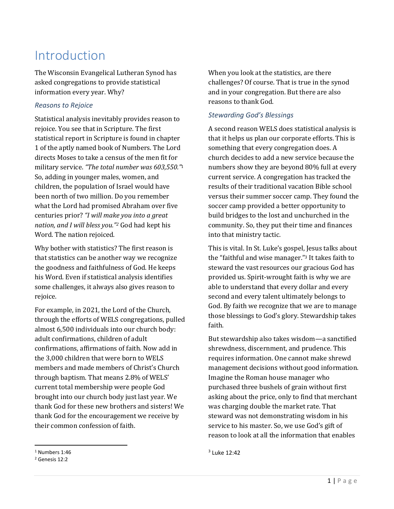# Introduction

The Wisconsin Evangelical Lutheran Synod has asked congregations to provide statistical information every year. Why?

#### *Reasons to Rejoice*

Statistical analysis inevitably provides reason to rejoice. You see that in Scripture. The first statistical report in Scripture is found in chapter 1 of the aptly named book of Numbers. The Lord directs Moses to take a census of the men fit for military service. *"The total number was 603,550."*<sup>1</sup> So, adding in younger males, women, and children, the population of Israel would have been north of two million. Do you remember what the Lord had promised Abraham over five centuries prior? *"I will make you into a great nation, and I will bless you."<sup>2</sup>* God had kept his Word. The nation rejoiced.

Why bother with statistics? The first reason is that statistics can be another way we recognize the goodness and faithfulness of God. He keeps his Word. Even if statistical analysis identifies some challenges, it always also gives reason to rejoice.

For example, in 2021, the Lord of the Church, through the efforts of WELS congregations, pulled almost 6,500 individuals into our church body: adult confirmations, children of adult confirmations, affirmations of faith. Now add in the 3,000 children that were born to WELS members and made members of Christ's Church through baptism. That means 2.8% of WELS' current total membership were people God brought into our church body just last year. We thank God for these new brothers and sisters! We thank God for the encouragement we receive by their common confession of faith.

### *Stewarding God's Blessings*

A second reason WELS does statistical analysis is that it helps us plan our corporate efforts. This is something that every congregation does. A church decides to add a new service because the numbers show they are beyond 80% full at every current service. A congregation has tracked the results of their traditional vacation Bible school versus their summer soccer camp. They found the soccer camp provided a better opportunity to build bridges to the lost and unchurched in the community. So, they put their time and finances into that ministry tactic.

This is vital. In St. Luke's gospel, Jesus talks about the "faithful and wise manager."<sup>3</sup> It takes faith to steward the vast resources our gracious God has provided us. Spirit-wrought faith is why we are able to understand that every dollar and every second and every talent ultimately belongs to God. By faith we recognize that we are to manage those blessings to God's glory. Stewardship takes faith.

But stewardship also takes wisdom—a sanctified shrewdness, discernment, and prudence. This requires information. One cannot make shrewd management decisions without good information. Imagine the Roman house manager who purchased three bushels of grain without first asking about the price, only to find that merchant was charging double the market rate. That steward was not demonstrating wisdom in his service to his master. So, we use God's gift of reason to look at all the information that enables

When you look at the statistics, are there challenges? Of course. That is true in the synod and in your congregation. But there are also reasons to thank God.

<sup>1</sup> Numbers 1:46

<sup>2</sup> Genesis 12:2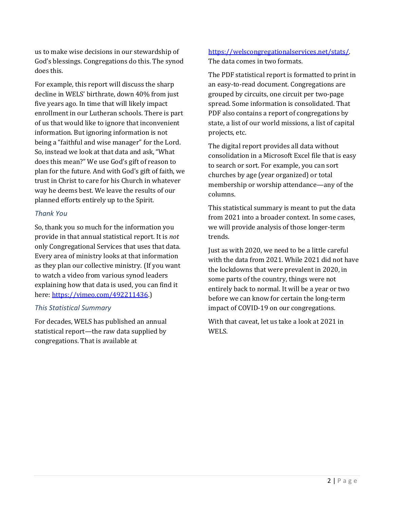us to make wise decisions in our stewardship of God's blessings. Congregations do this. The synod does this.

For example, this report will discuss the sharp decline in WELS' birthrate, down 40% from just five years ago. In time that will likely impact enrollment in our Lutheran schools. There is part of us that would like to ignore that inconvenient information. But ignoring information is not being a "faithful and wise manager" for the Lord. So, instead we look at that data and ask, "What does this mean?" We use God's gift of reason to plan for the future. And with God's gift of faith, we trust in Christ to care for his Church in whatever way he deems best. We leave the results of our planned efforts entirely up to the Spirit.

#### *Thank You*

So, thank you so much for the information you provide in that annual statistical report. It is *not* only Congregational Services that uses that data. Every area of ministry looks at that information as they plan our collective ministry. (If you want to watch a video from various synod leaders explaining how that data is used, you can find it here: [https://vimeo.com/492211436.](https://vimeo.com/492211436))

#### *This Statistical Summary*

For decades, WELS has published an annual statistical report—the raw data supplied by congregations. That is available at

#### [https://welscongregationalservices.net/stats/.](https://welscongregationalservices.net/stats/) The data comes in two formats.

The PDF statistical report is formatted to print in an easy-to-read document. Congregations are grouped by circuits, one circuit per two-page spread. Some information is consolidated. That PDF also contains a report of congregations by state, a list of our world missions, a list of capital projects, etc.

The digital report provides all data without consolidation in a Microsoft Excel file that is easy to search or sort. For example, you can sort churches by age (year organized) or total membership or worship attendance—any of the columns.

This statistical summary is meant to put the data from 2021 into a broader context. In some cases, we will provide analysis of those longer-term trends.

Just as with 2020, we need to be a little careful with the data from 2021. While 2021 did not have the lockdowns that were prevalent in 2020, in some parts of the country, things were not entirely back to normal. It will be a year or two before we can know for certain the long-term impact of COVID-19 on our congregations.

With that caveat, let us take a look at 2021 in WELS.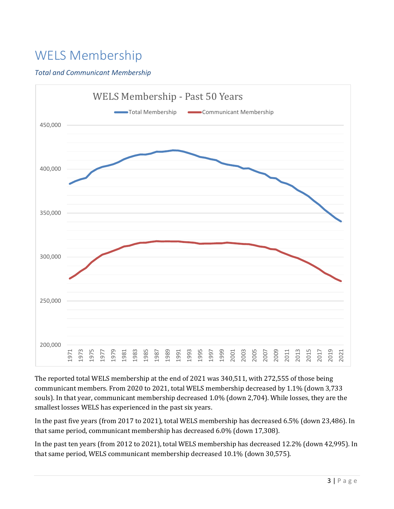# WELS Membership

### *Total and Communicant Membership*



The reported total WELS membership at the end of 2021 was 340,511, with 272,555 of those being communicant members. From 2020 to 2021, total WELS membership decreased by 1.1% (down 3,733 souls). In that year, communicant membership decreased 1.0% (down 2,704). While losses, they are the smallest losses WELS has experienced in the past six years.

In the past five years (from 2017 to 2021), total WELS membership has decreased 6.5% (down 23,486). In that same period, communicant membership has decreased 6.0% (down 17,308).

In the past ten years (from 2012 to 2021), total WELS membership has decreased 12.2% (down 42,995). In that same period, WELS communicant membership decreased 10.1% (down 30,575).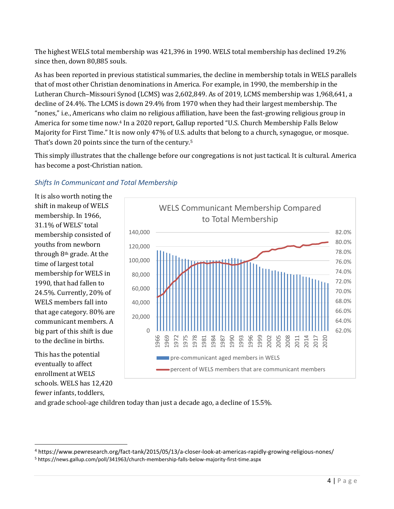The highest WELS total membership was 421,396 in 1990. WELS total membership has declined 19.2% since then, down 80,885 souls.

As has been reported in previous statistical summaries, the decline in membership totals in WELS parallels that of most other Christian denominations in America. For example, in 1990, the membership in the Lutheran Church–Missouri Synod (LCMS) was 2,602,849. As of 2019, LCMS membership was 1,968,641, a decline of 24.4%. The LCMS is down 29.4% from 1970 when they had their largest membership. The "nones," i.e., Americans who claim no religious affiliation, have been the fast-growing religious group in America for some time now.<sup>4</sup> In a 2020 report, Gallup reported "U.S. Church Membership Falls Below Majority for First Time." It is now only 47% of U.S. adults that belong to a church, synagogue, or mosque. That's down 20 points since the turn of the century.<sup>5</sup>

This simply illustrates that the challenge before our congregations is not just tactical. It is cultural. America has become a post-Christian nation.

### *Shifts In Communicant and Total Membership*

It is also worth noting the shift in makeup of WELS membership. In 1966, 31.1% of WELS' total membership consisted of youths from newborn through 8th grade. At the time of largest total membership for WELS in 1990, that had fallen to 24.5%. Currently, 20% of WELS members fall into that age category. 80% are communicant members. A big part of this shift is due to the decline in births.

This has the potential eventually to affect enrollment at WELS schools. WELS has 12,420 fewer infants, toddlers,



and grade school-age children today than just a decade ago, a decline of 15.5%.

<sup>4</sup> https://www.pewresearch.org/fact-tank/2015/05/13/a-closer-look-at-americas-rapidly-growing-religious-nones/

<sup>5</sup> https://news.gallup.com/poll/341963/church-membership-falls-below-majority-first-time.aspx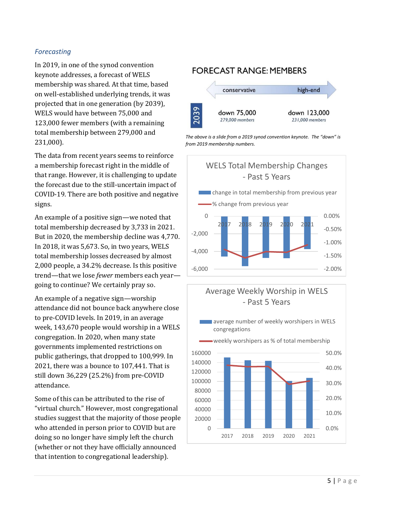#### *Forecasting*

In 2019, in one of the synod convention keynote addresses, a forecast of WELS membership was shared. At that time, based on well-established underlying trends, it was projected that in one generation (by 2039), WELS would have between 75,000 and 123,000 fewer members (with a remaining total membership between 279,000 and 231,000).

The data from recent years seems to reinforce a membership forecast right in the middle of that range. However, it is challenging to update the forecast due to the still-uncertain impact of COVID-19. There are both positive and negative signs.

An example of a positive sign—we noted that total membership decreased by 3,733 in 2021. But in 2020, the membership decline was 4,770. In 2018, it was 5,673. So, in two years, WELS total membership losses decreased by almost 2,000 people, a 34.2% decrease. Is this positive trend—that we lose *fewer* members each year going to continue? We certainly pray so.

An example of a negative sign—worship attendance did not bounce back anywhere close to pre-COVID levels. In 2019, in an average week, 143,670 people would worship in a WELS congregation. In 2020, when many state governments implemented restrictions on public gatherings, that dropped to 100,999. In 2021, there was a bounce to 107,441. That is still down 36,229 (25.2%) from pre-COVID attendance.

Some of this can be attributed to the rise of "virtual church." However, most congregational studies suggest that the majority of those people who attended in person prior to COVID but are doing so no longer have simply left the church (whether or not they have officially announced that intention to congregational leadership).

#### **FORECAST RANGE: MEMBERS**







## Average Weekly Worship in WELS - Past 5 Years

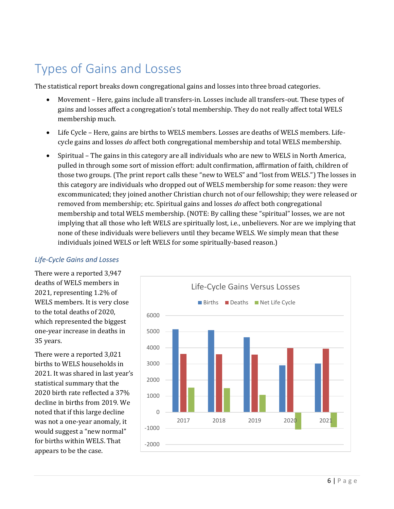# Types of Gains and Losses

The statistical report breaks down congregational gains and losses into three broad categories.

- Movement Here, gains include all transfers-in. Losses include all transfers-out. These types of gains and losses affect a congregation's total membership. They do not really affect total WELS membership much.
- Life Cycle Here, gains are births to WELS members. Losses are deaths of WELS members. Lifecycle gains and losses *do* affect both congregational membership and total WELS membership.
- Spiritual The gains in this category are all individuals who are new to WELS in North America, pulled in through some sort of mission effort: adult confirmation, affirmation of faith, children of those two groups. (The print report calls these "new to WELS" and "lost from WELS.") The losses in this category are individuals who dropped out of WELS membership for some reason: they were excommunicated; they joined another Christian church not of our fellowship; they were released or removed from membership; etc. Spiritual gains and losses *do* affect both congregational membership and total WELS membership. (NOTE: By calling these "spiritual" losses, we are not implying that all those who left WELS are spiritually lost, i.e., unbelievers. Nor are we implying that none of these individuals were believers until they became WELS. We simply mean that these individuals joined WELS or left WELS for some spiritually-based reason.)

#### *Life-Cycle Gains and Losses*

There were a reported 3,947 deaths of WELS members in 2021, representing 1.2% of WELS members. It is very close to the total deaths of 2020, which represented the biggest one-year increase in deaths in 35 years.

There were a reported 3,021 births to WELS households in 2021. It was shared in last year's statistical summary that the 2020 birth rate reflected a 37% decline in births from 2019. We noted that if this large decline was not a one-year anomaly, it would suggest a "new normal" for births within WELS. That appears to be the case.

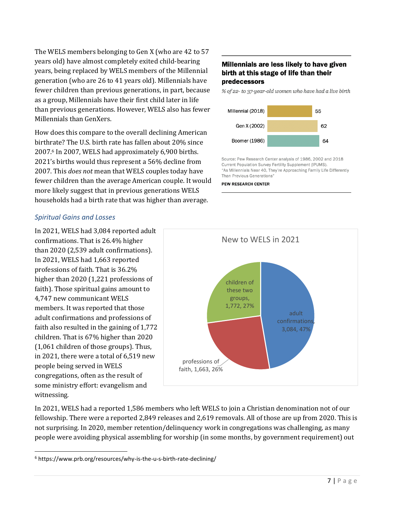The WELS members belonging to Gen X (who are 42 to 57 years old) have almost completely exited child-bearing years, being replaced by WELS members of the Millennial generation (who are 26 to 41 years old). Millennials have fewer children than previous generations, in part, because as a group, Millennials have their first child later in life than previous generations. However, WELS also has fewer Millennials than GenXers.

How does this compare to the overall declining American birthrate? The U.S. birth rate has fallen about 20% since 2007.<sup>6</sup> In 2007, WELS had approximately 6,900 births. 2021's births would thus represent a 56% decline from 2007. This *does not* mean that WELS couples today have fewer children than the average American couple. It would more likely suggest that in previous generations WELS households had a birth rate that was higher than average.

#### Millennials are less likely to have given birth at this stage of life than their predecessors

% of 22- to 37-year-old women who have had a live birth



Source: Pew Research Center analysis of 1986, 2002 and 2018 Current Population Survey Fertility Supplement (IPUMS). "As Millennials Near 40, They're Approaching Family Life Differently Than Previous Generations"

#### **PEW RESEARCH CENTER**

#### *Spiritual Gains and Losses*

In 2021, WELS had 3,084 reported adult confirmations. That is 26.4% higher than 2020 (2,539 adult confirmations). In 2021, WELS had 1,663 reported professions of faith. That is 36.2% higher than 2020 (1,221 professions of faith). Those spiritual gains amount to 4,747 new communicant WELS members. It was reported that those adult confirmations and professions of faith also resulted in the gaining of 1,772 children. That is 67% higher than 2020 (1,061 children of those groups). Thus, in 2021, there were a total of 6,519 new people being served in WELS congregations, often as the result of some ministry effort: evangelism and witnessing.



In 2021, WELS had a reported 1,586 members who left WELS to join a Christian denomination not of our fellowship. There were a reported 2,849 releases and 2,619 removals. All of those are up from 2020. This is not surprising. In 2020, member retention/delinquency work in congregations was challenging, as many people were avoiding physical assembling for worship (in some months, by government requirement) out

<sup>6</sup> https://www.prb.org/resources/why-is-the-u-s-birth-rate-declining/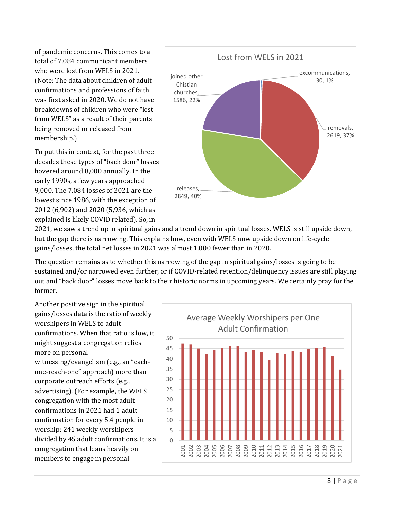of pandemic concerns. This comes to a total of 7,084 communicant members who were lost from WELS in 2021. (Note: The data about children of adult confirmations and professions of faith was first asked in 2020. We do not have breakdowns of children who were "lost from WELS" as a result of their parents being removed or released from membership.)

To put this in context, for the past three decades these types of "back door" losses hovered around 8,000 annually. In the early 1990s, a few years approached 9,000. The 7,084 losses of 2021 are the lowest since 1986, with the exception of 2012 (6,902) and 2020 (5,936, which as explained is likely COVID related). So, in



2021, we saw a trend up in spiritual gains and a trend down in spiritual losses. WELS is still upside down, but the gap there is narrowing. This explains how, even with WELS now upside down on life-cycle gains/losses, the total net losses in 2021 was almost 1,000 fewer than in 2020.

The question remains as to whether this narrowing of the gap in spiritual gains/losses is going to be sustained and/or narrowed even further, or if COVID-related retention/delinquency issues are still playing out and "back door" losses move back to their historic norms in upcoming years. We certainly pray for the former.

Another positive sign in the spiritual gains/losses data is the ratio of weekly worshipers in WELS to adult confirmations. When that ratio is low, it might suggest a congregation relies more on personal witnessing/evangelism (e.g., an "eachone-reach-one" approach) more than corporate outreach efforts (e.g., advertising). (For example, the WELS congregation with the most adult confirmations in 2021 had 1 adult confirmation for every 5.4 people in worship: 241 weekly worshipers divided by 45 adult confirmations. It is a congregation that leans heavily on members to engage in personal

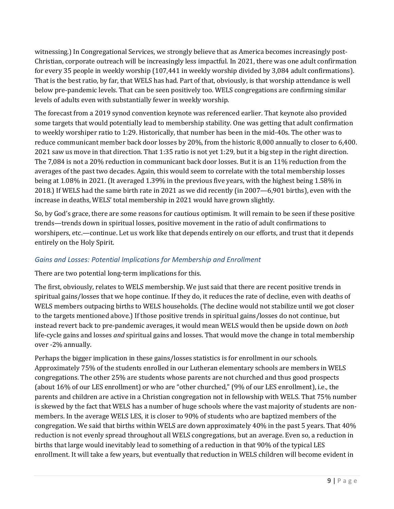witnessing.) In Congregational Services, we strongly believe that as America becomes increasingly post-Christian, corporate outreach will be increasingly less impactful. In 2021, there was one adult confirmation for every 35 people in weekly worship (107,441 in weekly worship divided by 3,084 adult confirmations). That is the best ratio, by far, that WELS has had. Part of that, obviously, is that worship attendance is well below pre-pandemic levels. That can be seen positively too. WELS congregations are confirming similar levels of adults even with substantially fewer in weekly worship.

The forecast from a 2019 synod convention keynote was referenced earlier. That keynote also provided some targets that would potentially lead to membership stability. One was getting that adult confirmation to weekly worshiper ratio to 1:29. Historically, that number has been in the mid-40s. The other was to reduce communicant member back door losses by 20%, from the historic 8,000 annually to closer to 6,400. 2021 saw us move in that direction. That 1:35 ratio is not yet 1:29, but it a big step in the right direction. The 7,084 is not a 20% reduction in communicant back door losses. But it is an 11% reduction from the averages of the past two decades. Again, this would seem to correlate with the total membership losses being at 1.08% in 2021. (It averaged 1.39% in the previous five years, with the highest being 1.58% in 2018.) If WELS had the same birth rate in 2021 as we did recently (in 2007—6,901 births), even with the increase in deaths, WELS' total membership in 2021 would have grown slightly.

So, by God's grace, there are some reasons for cautious optimism. It will remain to be seen if these positive trends—trends down in spiritual losses, positive movement in the ratio of adult confirmations to worshipers, etc.—continue. Let us work like that depends entirely on our efforts, and trust that it depends entirely on the Holy Spirit.

#### *Gains and Losses: Potential Implications for Membership and Enrollment*

There are two potential long-term implications for this.

The first, obviously, relates to WELS membership. We just said that there are recent positive trends in spiritual gains/losses that we hope continue. If they do, it reduces the rate of decline, even with deaths of WELS members outpacing births to WELS households. (The decline would not stabilize until we got closer to the targets mentioned above.) If those positive trends in spiritual gains/losses do not continue, but instead revert back to pre-pandemic averages, it would mean WELS would then be upside down on *both* life-cycle gains and losses *and* spiritual gains and losses. That would move the change in total membership over -2% annually.

Perhaps the bigger implication in these gains/losses statistics is for enrollment in our schools. Approximately 75% of the students enrolled in our Lutheran elementary schools are members in WELS congregations. The other 25% are students whose parents are not churched and thus good prospects (about 16% of our LES enrollment) or who are "other churched," (9% of our LES enrollment), i.e., the parents and children are active in a Christian congregation not in fellowship with WELS. That 75% number is skewed by the fact that WELS has a number of huge schools where the vast majority of students are nonmembers. In the average WELS LES, it is closer to 90% of students who are baptized members of the congregation. We said that births within WELS are down approximately 40% in the past 5 years. That 40% reduction is not evenly spread throughout all WELS congregations, but an average. Even so, a reduction in births that large would inevitably lead to something of a reduction in that 90% of the typical LES enrollment. It will take a few years, but eventually that reduction in WELS children will become evident in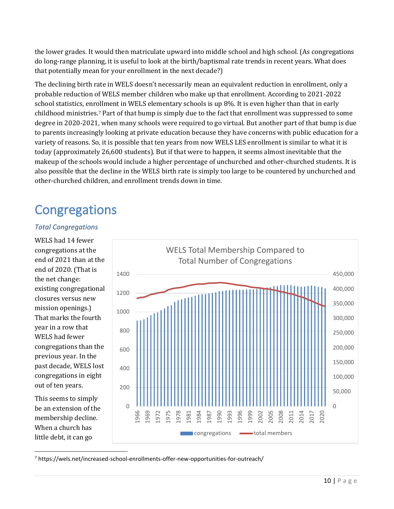the lower grades. It would then matriculate upward into middle school and high school. (As congregations do long-range planning, it is useful to look at the birth/baptismal rate trends in recent years. What does that potentially mean for your enrollment in the next decade?)

The declining birth rate in WELS doesn't necessarily mean an equivalent reduction in enrollment, only a probable reduction of WELS member children who make up that enrollment. According to 2021-2022 school statistics, enrollment in WELS elementary schools is up 8%. It is even higher than that in early childhood ministries. <sup>7</sup> Part of that bump is simply due to the fact that enrollment was suppressed to some degree in 2020-2021, when many schools were required to go virtual. But another part of that bump is due to parents increasingly looking at private education because they have concerns with public education for a variety of reasons. So, it is possible that ten years from now WELS LES enrollment is similar to what it is today (approximately 26,600 students). But if that were to happen, it seems almost inevitable that the makeup of the schools would include a higher percentage of unchurched and other-churched students. It is also possible that the decline in the WELS birth rate is simply too large to be countered by unchurched and other-churched children, and enrollment trends down in time.

# **Congregations**

#### *Total Congregations*

WELS had 14 fewer congregations at the end of 2021 than at the end of 2020. (That is the net change: existing congregational closures versus new mission openings.) That marks the fourth year in a row that WELS had fewer congregations than the previous year. In the past decade, WELS lost congregations in eight out of ten years.

This seems to simply be an extension of the membership decline. When a church has little debt, it can go



<sup>7</sup> https://wels.net/increased-school-enrollments-offer-new-opportunities-for-outreach/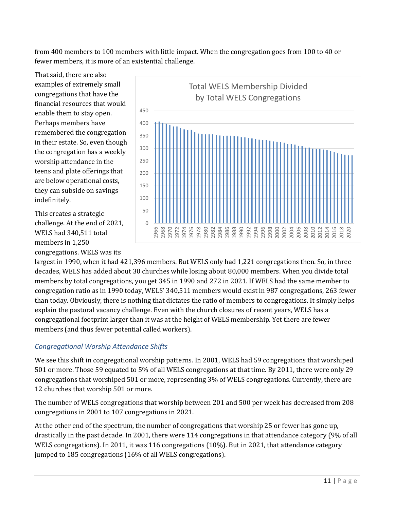from 400 members to 100 members with little impact. When the congregation goes from 100 to 40 or fewer members, it is more of an existential challenge.

That said, there are also examples of extremely small congregations that have the financial resources that would enable them to stay open. Perhaps members have remembered the congregation in their estate. So, even though the congregation has a weekly worship attendance in the teens and plate offerings that are below operational costs, they can subside on savings indefinitely.

This creates a strategic challenge. At the end of 2021, WELS had 340,511 total members in 1,250 congregations. WELS was its



largest in 1990, when it had 421,396 members. But WELS only had 1,221 congregations then. So, in three decades, WELS has added about 30 churches while losing about 80,000 members. When you divide total members by total congregations, you get 345 in 1990 and 272 in 2021. If WELS had the same member to congregation ratio as in 1990 today, WELS' 340,511 members would exist in 987 congregations, 263 fewer than today. Obviously, there is nothing that dictates the ratio of members to congregations. It simply helps explain the pastoral vacancy challenge. Even with the church closures of recent years, WELS has a congregational footprint larger than it was at the height of WELS membership. Yet there are fewer members (and thus fewer potential called workers).

### *Congregational Worship Attendance Shifts*

We see this shift in congregational worship patterns. In 2001, WELS had 59 congregations that worshiped 501 or more. Those 59 equated to 5% of all WELS congregations at that time. By 2011, there were only 29 congregations that worshiped 501 or more, representing 3% of WELS congregations. Currently, there are 12 churches that worship 501 or more.

The number of WELS congregations that worship between 201 and 500 per week has decreased from 208 congregations in 2001 to 107 congregations in 2021.

At the other end of the spectrum, the number of congregations that worship 25 or fewer has gone up, drastically in the past decade. In 2001, there were 114 congregations in that attendance category (9% of all WELS congregations). In 2011, it was 116 congregations (10%). But in 2021, that attendance category jumped to 185 congregations (16% of all WELS congregations).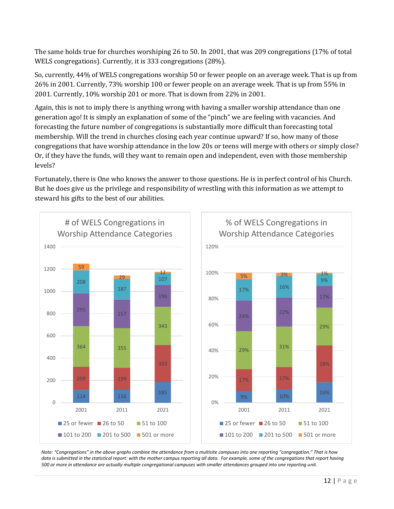The same holds true for churches worshiping 26 to 50. In 2001, that was 209 congregations (17% of total WELS congregations). Currently, it is 333 congregations (28%).

So, currently, 44% of WELS congregations worship 50 or fewer people on an average week. That is up from 26% in 2001. Currently, 73% worship 100 or fewer people on an average week. That is up from 55% in 2001. Currently, 10% worship 201 or more. That is down from 22% in 2001.

Again, this is not to imply there is anything wrong with having a smaller worship attendance than one generation ago! It is simply an explanation of some of the "pinch" we are feeling with vacancies. And forecasting the future number of congregations is substantially more difficult than forecasting total membership. Will the trend in churches closing each year continue upward? If so, how many of those congregations that have worship attendance in the low 20s or teens will merge with others or simply close? Or, if they have the funds, will they want to remain open and independent, even with those membership levels?

Fortunately, there is One who knows the answer to those questions. He is in perfect control of his Church. But he does give us the privilege and responsibility of wrestling with this information as we attempt to steward his gifts to the best of our abilities.



*Note: "Congregations" in the above graphs combine the attendance from a multisite campuses into one reporting "congregation." That is how*  data is submitted in the statistical report: with the mother campus reporting all data. For example, some of the congregations that report having *500 or more in attendance are actually multiple congregational campuses with smaller attendances grouped into one reporting unit.*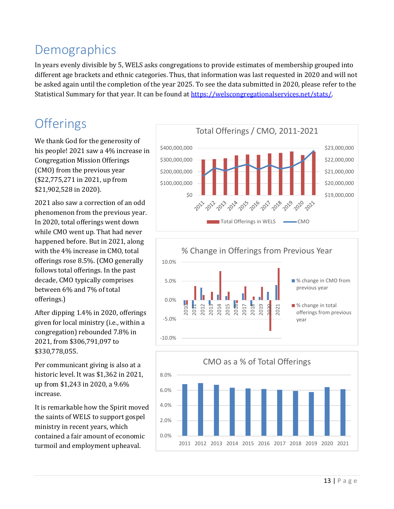# Demographics

In years evenly divisible by 5, WELS asks congregations to provide estimates of membership grouped into different age brackets and ethnic categories. Thus, that information was last requested in 2020 and will not be asked again until the completion of the year 2025. To see the data submitted in 2020, please refer to the Statistical Summary for that year. It can be found at [https://welscongregationalservices.net/stats/.](https://welscongregationalservices.net/stats/) 

# **Offerings**

We thank God for the generosity of his people! 2021 saw a 4% increase in Congregation Mission Offerings (CMO) from the previous year (\$22,775,271 in 2021, up from \$21,902,528 in 2020).

2021 also saw a correction of an odd phenomenon from the previous year. In 2020, total offerings went down while CMO went up. That had never happened before. But in 2021, along with the 4% increase in CMO, total offerings rose 8.5%. (CMO generally follows total offerings. In the past decade, CMO typically comprises between 6% and 7% of total offerings.)

After dipping 1.4% in 2020, offerings given for local ministry (i.e., within a congregation) rebounded 7.8% in 2021, from \$306,791,097 to \$330,778,055.

Per communicant giving is also at a historic level. It was \$1,362 in 2021, up from \$1,243 in 2020, a 9.6% increase.

It is remarkable how the Spirit moved the saints of WELS to support gospel ministry in recent years, which contained a fair amount of economic turmoil and employment upheaval.





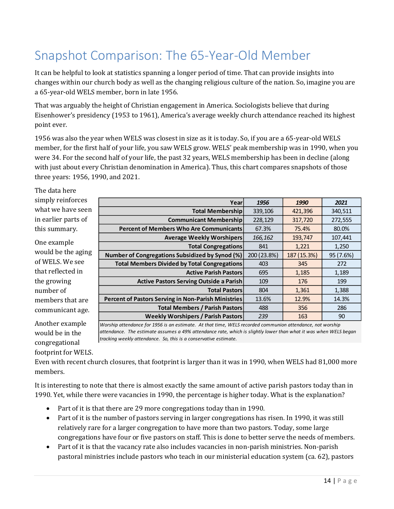# Snapshot Comparison: The 65-Year-Old Member

It can be helpful to look at statistics spanning a longer period of time. That can provide insights into changes within our church body as well as the changing religious culture of the nation. So, imagine you are a 65-year-old WELS member, born in late 1956.

That was arguably the height of Christian engagement in America. Sociologists believe that during Eisenhower's presidency (1953 to 1961), America's average weekly church attendance reached its highest point ever.

1956 was also the year when WELS was closest in size as it is today. So, if you are a 65-year-old WELS member, for the first half of your life, you saw WELS grow. WELS' peak membership was in 1990, when you were 34. For the second half of your life, the past 32 years, WELS membership has been in decline (along with just about every Christian denomination in America). Thus, this chart compares snapshots of those three years: 1956, 1990, and 2021.

The data here simply reinforces what we have seen in earlier parts of this summary.

One example would be the aging of WELS. We see that reflected in the growing number of members that are communicant age.

Another example would be in the congregational footprint for WELS.

| Year                                                   | 1956        | 1990        | 2021      |
|--------------------------------------------------------|-------------|-------------|-----------|
| <b>Total Membership</b>                                | 339,106     | 421,396     | 340,511   |
| <b>Communicant Membership</b>                          | 228,129     | 317,720     | 272,555   |
| <b>Percent of Members Who Are Communicants</b>         | 67.3%       | 75.4%       | 80.0%     |
| <b>Average Weekly Worshipers</b>                       | 166,162     | 193,747     | 107,441   |
| <b>Total Congregations</b>                             | 841         | 1,221       | 1,250     |
| <b>Number of Congregations Subsidized by Synod (%)</b> | 200 (23.8%) | 187 (15.3%) | 95 (7.6%) |
| <b>Total Members Divided by Total Congregations</b>    | 403         | 345         | 272       |
| <b>Active Parish Pastors</b>                           | 695         | 1,185       | 1,189     |
| <b>Active Pastors Serving Outside a Parish</b>         | 109         | 176         | 199       |
| <b>Total Pastors</b>                                   | 804         | 1,361       | 1,388     |
| Percent of Pastors Serving in Non-Parish Ministries    | 13.6%       | 12.9%       | 14.3%     |
| <b>Total Members / Parish Pastors</b>                  | 488         | 356         | 286       |
| <b>Weekly Worshipers / Parish Pastors</b>              | 239         | 163         | 90        |

*Worship attendance for 1956 is an estimate. At that time, WELS recorded communion attendance, not worship attendance. The estimate assumes a 49% attendance rate, which is slightly lower than what it was when WELS began tracking weekly attendance. So, this is a conservative estimate.* 

Even with recent church closures, that footprint is larger than it was in 1990, when WELS had 81,000 more members.

It is interesting to note that there is almost exactly the same amount of active parish pastors today than in 1990. Yet, while there were vacancies in 1990, the percentage is higher today. What is the explanation?

- Part of it is that there are 29 more congregations today than in 1990.
- Part of it is the number of pastors serving in larger congregations has risen. In 1990, it was still relatively rare for a larger congregation to have more than two pastors. Today, some large congregations have four or five pastors on staff. This is done to better serve the needs of members.
- Part of it is that the vacancy rate also includes vacancies in non-parish ministries. Non-parish pastoral ministries include pastors who teach in our ministerial education system (ca. 62), pastors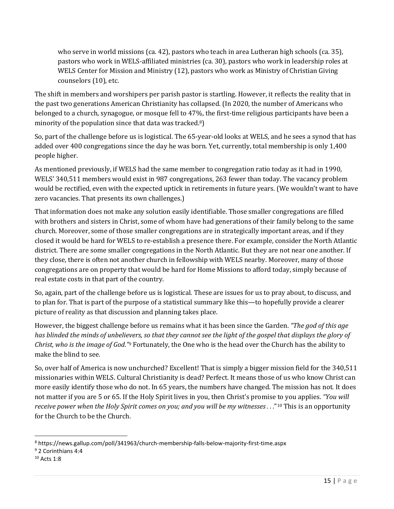who serve in world missions (ca. 42), pastors who teach in area Lutheran high schools (ca. 35), pastors who work in WELS-affiliated ministries (ca. 30), pastors who work in leadership roles at WELS Center for Mission and Ministry (12), pastors who work as Ministry of Christian Giving counselors (10), etc.

The shift in members and worshipers per parish pastor is startling. However, it reflects the reality that in the past two generations American Christianity has collapsed. (In 2020, the number of Americans who belonged to a church, synagogue, or mosque fell to 47%, the first-time religious participants have been a minority of the population since that data was tracked.8)

So, part of the challenge before us is logistical. The 65-year-old looks at WELS, and he sees a synod that has added over 400 congregations since the day he was born. Yet, currently, total membership is only 1,400 people higher.

As mentioned previously, if WELS had the same member to congregation ratio today as it had in 1990, WELS' 340,511 members would exist in 987 congregations, 263 fewer than today. The vacancy problem would be rectified, even with the expected uptick in retirements in future years. (We wouldn't want to have zero vacancies. That presents its own challenges.)

That information does not make any solution easily identifiable. Those smaller congregations are filled with brothers and sisters in Christ, some of whom have had generations of their family belong to the same church. Moreover, some of those smaller congregations are in strategically important areas, and if they closed it would be hard for WELS to re-establish a presence there. For example, consider the North Atlantic district. There are some smaller congregations in the North Atlantic. But they are not near one another. If they close, there is often not another church in fellowship with WELS nearby. Moreover, many of those congregations are on property that would be hard for Home Missions to afford today, simply because of real estate costs in that part of the country.

So, again, part of the challenge before us is logistical. These are issues for us to pray about, to discuss, and to plan for. That is part of the purpose of a statistical summary like this—to hopefully provide a clearer picture of reality as that discussion and planning takes place.

However, the biggest challenge before us remains what it has been since the Garden. *"The god of this age has blinded the minds of unbelievers, so that they cannot see the light of the gospel that displays the glory of Christ, who is the image of God."<sup>9</sup>* Fortunately, the One who is the head over the Church has the ability to make the blind to see.

So, over half of America is now unchurched? Excellent! That is simply a bigger mission field for the 340,511 missionaries within WELS. Cultural Christianity is dead? Perfect. It means those of us who know Christ can more easily identify those who do not. In 65 years, the numbers have changed. The mission has not. It does not matter if you are 5 or 65. If the Holy Spirit lives in you, then Christ's promise to you applies. *"You will receive power when the Holy Spirit comes on you; and you will be my witnesses . . .*" <sup>10</sup> This is an opportunity for the Church to be the Church.

<sup>8</sup> https://news.gallup.com/poll/341963/church-membership-falls-below-majority-first-time.aspx

<sup>9</sup> 2 Corinthians 4:4

<sup>&</sup>lt;sup>10</sup> Acts 1:8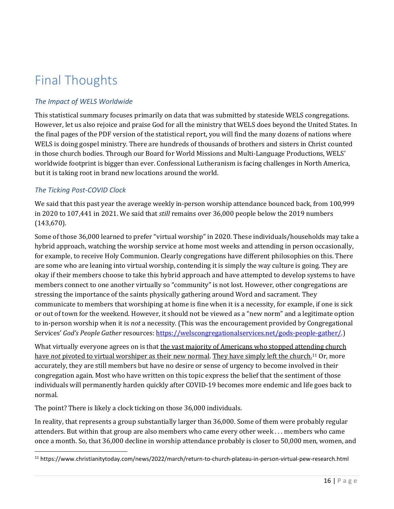# Final Thoughts

### *The Impact of WELS Worldwide*

This statistical summary focuses primarily on data that was submitted by stateside WELS congregations. However, let us also rejoice and praise God for all the ministry that WELS does beyond the United States. In the final pages of the PDF version of the statistical report, you will find the many dozens of nations where WELS is doing gospel ministry. There are hundreds of thousands of brothers and sisters in Christ counted in those church bodies. Through our Board for World Missions and Multi-Language Productions, WELS' worldwide footprint is bigger than ever. Confessional Lutheranism is facing challenges in North America, but it is taking root in brand new locations around the world.

#### *The Ticking Post-COVID Clock*

We said that this past year the average weekly in-person worship attendance bounced back, from 100,999 in 2020 to 107,441 in 2021. We said that *still* remains over 36,000 people below the 2019 numbers (143,670).

Some of those 36,000 learned to prefer "virtual worship" in 2020. These individuals/households may take a hybrid approach, watching the worship service at home most weeks and attending in person occasionally, for example, to receive Holy Communion. Clearly congregations have different philosophies on this. There are some who are leaning into virtual worship, contending it is simply the way culture is going. They are okay if their members choose to take this hybrid approach and have attempted to develop systems to have members connect to one another virtually so "community" is not lost. However, other congregations are stressing the importance of the saints physically gathering around Word and sacrament. They communicate to members that worshiping at home is fine when it is a necessity, for example, if one is sick or out of town for the weekend. However, it should not be viewed as a "new norm" and a legitimate option to in-person worship when it is *not* a necessity. (This was the encouragement provided by Congregational Services' *God's People Gather* resources[: https://welscongregationalservices.net/gods-people-gather/.\)](https://welscongregationalservices.net/gods-people-gather/)

What virtually everyone agrees on is that the vast majority of Americans who stopped attending church have *not* pivoted to virtual worshiper as their new normal. They have simply left the church.<sup>11</sup> Or, more accurately, they are still members but have no desire or sense of urgency to become involved in their congregation again. Most who have written on this topic express the belief that the sentiment of those individuals will permanently harden quickly after COVID-19 becomes more endemic and life goes back to normal.

The point? There is likely a clock ticking on those 36,000 individuals.

In reality, that represents a group substantially larger than 36,000. Some of them were probably regular attenders. But within that group are also members who came every other week . . . members who came once a month. So, that 36,000 decline in worship attendance probably is closer to 50,000 men, women, and

<sup>11</sup> https://www.christianitytoday.com/news/2022/march/return-to-church-plateau-in-person-virtual-pew-research.html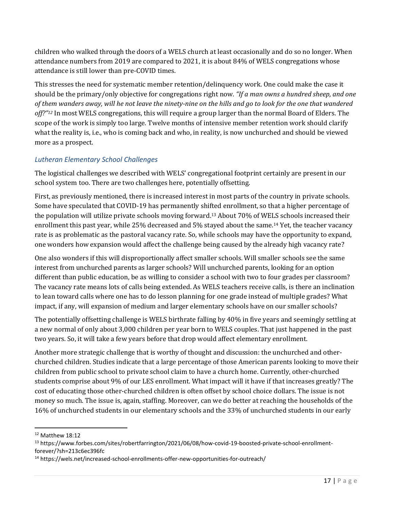children who walked through the doors of a WELS church at least occasionally and do so no longer. When attendance numbers from 2019 are compared to 2021, it is about 84% of WELS congregations whose attendance is still lower than pre-COVID times.

This stresses the need for systematic member retention/delinquency work. One could make the case it should be the primary/only objective for congregations right now. *"If a man owns a hundred sheep, and one of them wanders away, will he not leave the ninety-nine on the hills and go to look for the one that wandered off?" <sup>12</sup>* In most WELS congregations, this will require a group larger than the normal Board of Elders. The scope of the work is simply too large. Twelve months of intensive member retention work should clarify what the reality is, i.e., who is coming back and who, in reality, is now unchurched and should be viewed more as a prospect.

### *Lutheran Elementary School Challenges*

The logistical challenges we described with WELS' congregational footprint certainly are present in our school system too. There are two challenges here, potentially offsetting.

First, as previously mentioned, there is increased interest in most parts of the country in private schools. Some have speculated that COVID-19 has permanently shifted enrollment, so that a higher percentage of the population will utilize private schools moving forward.<sup>13</sup> About 70% of WELS schools increased their enrollment this past year, while 25% decreased and 5% stayed about the same.<sup>14</sup> Yet, the teacher vacancy rate is as problematic as the pastoral vacancy rate. So, while schools may have the opportunity to expand, one wonders how expansion would affect the challenge being caused by the already high vacancy rate?

One also wonders if this will disproportionally affect smaller schools. Will smaller schools see the same interest from unchurched parents as larger schools? Will unchurched parents, looking for an option different than public education, be as willing to consider a school with two to four grades per classroom? The vacancy rate means lots of calls being extended. As WELS teachers receive calls, is there an inclination to lean toward calls where one has to do lesson planning for one grade instead of multiple grades? What impact, if any, will expansion of medium and larger elementary schools have on our smaller schools?

The potentially offsetting challenge is WELS birthrate falling by 40% in five years and seemingly settling at a new normal of only about 3,000 children per year born to WELS couples. That just happened in the past two years. So, it will take a few years before that drop would affect elementary enrollment.

Another more strategic challenge that is worthy of thought and discussion: the unchurched and otherchurched children. Studies indicate that a large percentage of those American parents looking to move their children from public school to private school claim to have a church home. Currently, other-churched students comprise about 9% of our LES enrollment. What impact will it have if that increases greatly? The cost of educating those other-churched children is often offset by school choice dollars. The issue is not money so much. The issue is, again, staffing. Moreover, can we do better at reaching the households of the 16% of unchurched students in our elementary schools and the 33% of unchurched students in our early

<sup>12</sup> Matthew 18:12

<sup>13</sup> https://www.forbes.com/sites/robertfarrington/2021/06/08/how-covid-19-boosted-private-school-enrollmentforever/?sh=213c6ec396fc

<sup>14</sup> https://wels.net/increased-school-enrollments-offer-new-opportunities-for-outreach/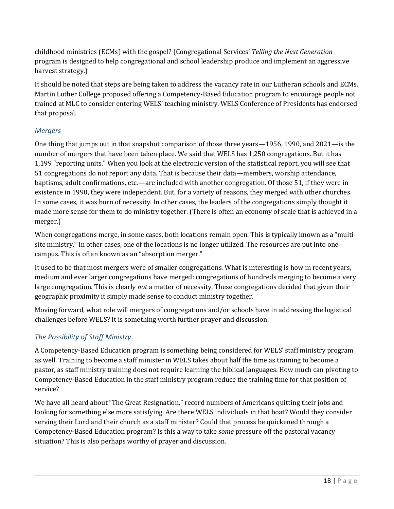childhood ministries (ECMs) with the gospel? (Congregational Services' *Telling the Next Generation* program is designed to help congregational and school leadership produce and implement an aggressive harvest strategy.)

It should be noted that steps are being taken to address the vacancy rate in our Lutheran schools and ECMs. Martin Luther College proposed offering a Competency-Based Education program to encourage people not trained at MLC to consider entering WELS' teaching ministry. WELS Conference of Presidents has endorsed that proposal.

### *Mergers*

One thing that jumps out in that snapshot comparison of those three years—1956, 1990, and 2021—is the number of mergers that have been taken place. We said that WELS has 1,250 congregations. But it has 1,199 "reporting units." When you look at the electronic version of the statistical report, you will see that 51 congregations do not report any data. That is because their data—members, worship attendance, baptisms, adult confirmations, etc.—are included with another congregation. Of those 51, if they were in existence in 1990, they were independent. But, for a variety of reasons, they merged with other churches. In some cases, it was born of necessity. In other cases, the leaders of the congregations simply thought it made more sense for them to do ministry together. (There is often an economy of scale that is achieved in a merger.)

When congregations merge, in some cases, both locations remain open. This is typically known as a "multisite ministry." In other cases, one of the locations is no longer utilized. The resources are put into one campus. This is often known as an "absorption merger."

It used to be that most mergers were of smaller congregations. What is interesting is how in recent years, medium and ever larger congregations have merged: congregations of hundreds merging to become a very large congregation. This is clearly *not* a matter of necessity. These congregations decided that given their geographic proximity it simply made sense to conduct ministry together.

Moving forward, what role will mergers of congregations and/or schools have in addressing the logistical challenges before WELS? It is something worth further prayer and discussion.

### *The Possibility of Staff Ministry*

A Competency-Based Education program is something being considered for WELS' staff ministry program as well. Training to become a staff minister in WELS takes about half the time as training to become a pastor, as staff ministry training does not require learning the biblical languages. How much can pivoting to Competency-Based Education in the staff ministry program reduce the training time for that position of service?

We have all heard about "The Great Resignation," record numbers of Americans quitting their jobs and looking for something else more satisfying. Are there WELS individuals in that boat? Would they consider serving their Lord and their church as a staff minister? Could that process be quickened through a Competency-Based Education program? Is this a way to take *some* pressure off the pastoral vacancy situation? This is also perhaps worthy of prayer and discussion.